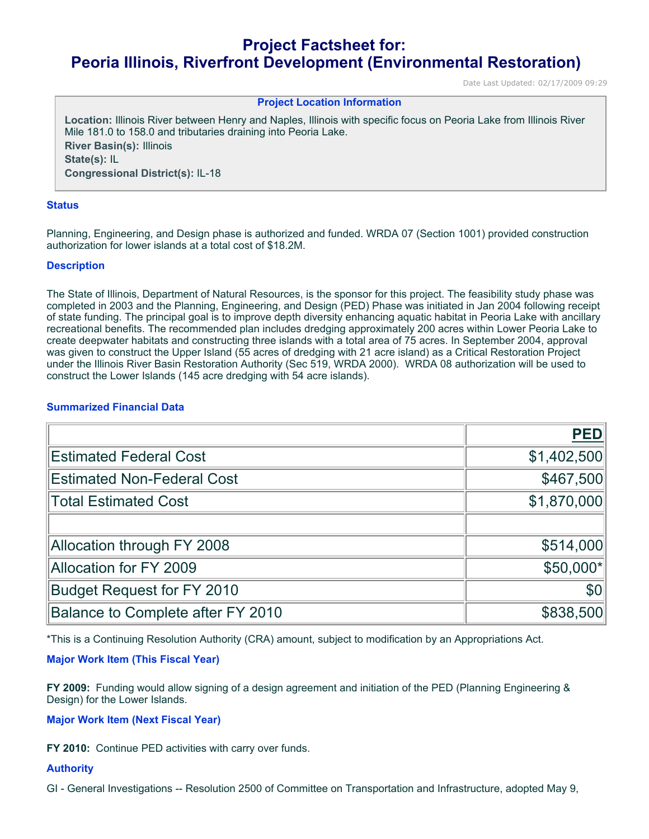# **Project Factsheet for: Peoria Illinois, Riverfront Development (Environmental Restoration)**

Date Last Updated: 02/17/2009 09:29

#### **Project Location Information**

**Location:** Illinois River between Henry and Naples, Illinois with specific focus on Peoria Lake from Illinois River Mile 181.0 to 158.0 and tributaries draining into Peoria Lake. **River Basin(s):** Illinois **State(s):** IL **Congressional District(s):** IL-18

#### **Status**

Planning, Engineering, and Design phase is authorized and funded. WRDA 07 (Section 1001) provided construction authorization for lower islands at a total cost of \$18.2M.

#### **Description**

The State of Illinois, Department of Natural Resources, is the sponsor for this project. The feasibility study phase was completed in 2003 and the Planning, Engineering, and Design (PED) Phase was initiated in Jan 2004 following receipt of state funding. The principal goal is to improve depth diversity enhancing aquatic habitat in Peoria Lake with ancillary recreational benefits. The recommended plan includes dredging approximately 200 acres within Lower Peoria Lake to create deepwater habitats and constructing three islands with a total area of 75 acres. In September 2004, approval was given to construct the Upper Island (55 acres of dredging with 21 acre island) as a Critical Restoration Project under the Illinois River Basin Restoration Authority (Sec 519, WRDA 2000). WRDA 08 authorization will be used to construct the Lower Islands (145 acre dredging with 54 acre islands).

## **Summarized Financial Data**

|                                   | <b>PED</b>  |
|-----------------------------------|-------------|
| <b>Estimated Federal Cost</b>     | \$1,402,500 |
| <b>Estimated Non-Federal Cost</b> | \$467,500   |
| <b>Total Estimated Cost</b>       | \$1,870,000 |
|                                   |             |
| Allocation through FY 2008        | \$514,000   |
| Allocation for FY 2009            | \$50,000*   |
| <b>Budget Request for FY 2010</b> | \$0         |
| Balance to Complete after FY 2010 | \$838,500   |

\*This is a Continuing Resolution Authority (CRA) amount, subject to modification by an Appropriations Act.

## **Major Work Item (This Fiscal Year)**

**FY 2009:** Funding would allow signing of a design agreement and initiation of the PED (Planning Engineering & Design) for the Lower Islands.

## **Major Work Item (Next Fiscal Year)**

**FY 2010:** Continue PED activities with carry over funds.

## **Authority**

GI - General Investigations -- Resolution 2500 of Committee on Transportation and Infrastructure, adopted May 9,